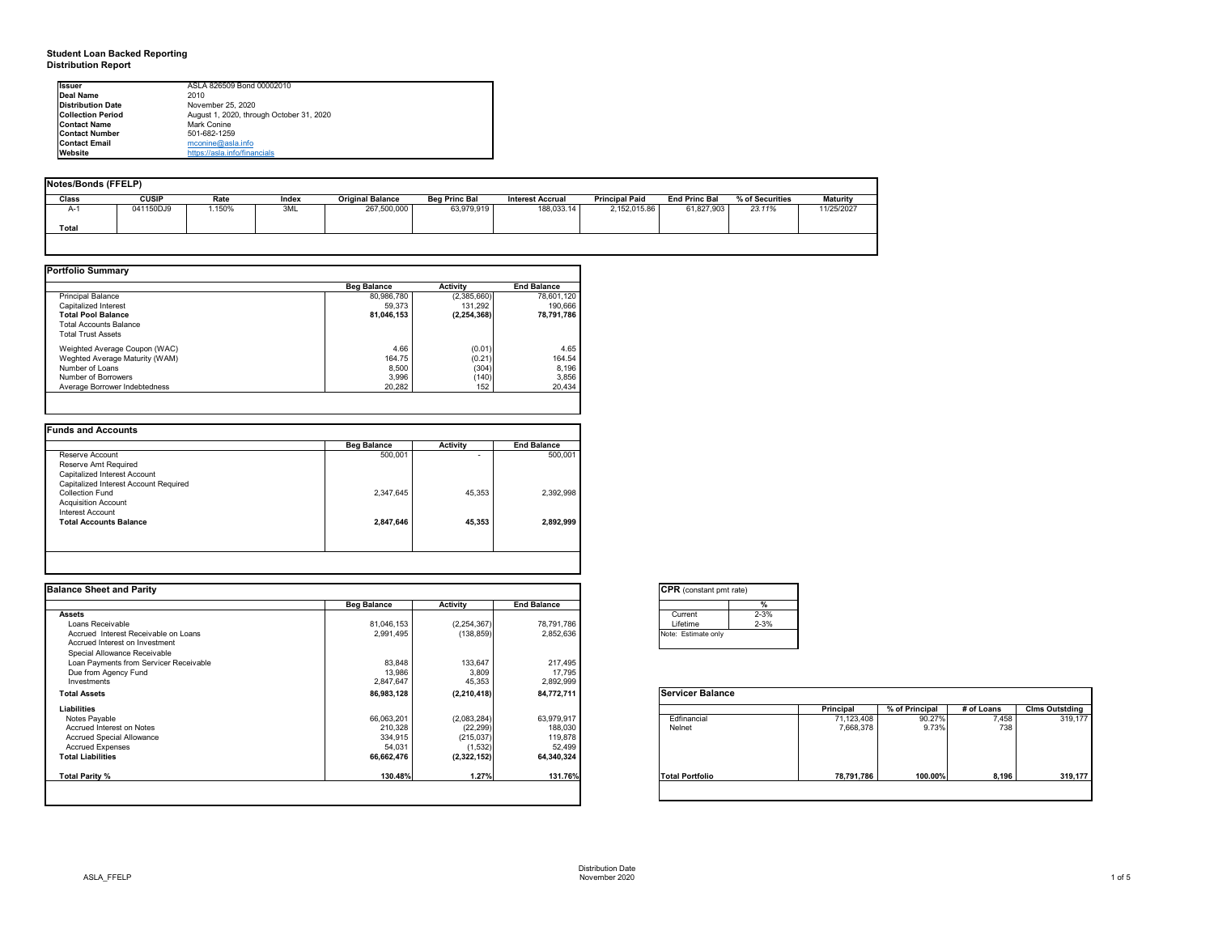# **Student Loan Backed Reporting Distribution Report**

# **Notes/Bonds (FFELP)**

| Notes/Bonds (FFELP) |              |       |              |                         |                      |                         |                       |                      |                 |                 |
|---------------------|--------------|-------|--------------|-------------------------|----------------------|-------------------------|-----------------------|----------------------|-----------------|-----------------|
| <b>Class</b>        | <b>CUSIP</b> | Rate  | <b>Index</b> | <b>Original Balance</b> | <b>Beg Princ Bal</b> | <b>Interest Accrual</b> | <b>Principal Paid</b> | <b>End Princ Bal</b> | % of Securities | <b>Maturity</b> |
| A-1                 | 041150DJ9    | .150% | 3ML          | 267,500,000             | 63,979,919           | 188,033.14              | 2,152,015.86          | 61,827,903           | 23.11%          | 11/25/2027      |
| <b>Total</b>        |              |       |              |                         |                      |                         |                       |                      |                 |                 |
|                     |              |       |              |                         |                      |                         |                       |                      |                 |                 |

|                                | <b>Beg Balance</b> | <b>Activity</b> | <b>End Balance</b> |
|--------------------------------|--------------------|-----------------|--------------------|
| <b>Principal Balance</b>       | 80,986,780         | (2,385,660)     | 78,601,120         |
| Capitalized Interest           | 59,373             | 131,292         | 190,666            |
| <b>Total Pool Balance</b>      | 81,046,153         | (2, 254, 368)   | 78,791,786         |
| <b>Total Accounts Balance</b>  |                    |                 |                    |
| <b>Total Trust Assets</b>      |                    |                 |                    |
| Weighted Average Coupon (WAC)  | 4.66               | (0.01)          | 4.65               |
| Weghted Average Maturity (WAM) | 164.75             | (0.21)          | 164.54             |
| Number of Loans                | 8,500              | (304)           | 8,196              |
| Number of Borrowers            | 3,996              | (140)           | 3,856              |
| Average Borrower Indebtedness  | 20,282             | 152             | 20,434             |

|                                       | <b>Beg Balance</b> | <b>Activity</b> | <b>End Balance</b> |
|---------------------------------------|--------------------|-----------------|--------------------|
| Reserve Account                       | 500,001            |                 | 500,001            |
| Reserve Amt Required                  |                    |                 |                    |
| Capitalized Interest Account          |                    |                 |                    |
| Capitalized Interest Account Required |                    |                 |                    |
| <b>Collection Fund</b>                | 2,347,645          | 45,353          | 2,392,998          |
| <b>Acquisition Account</b>            |                    |                 |                    |
| Interest Account                      |                    |                 |                    |
| <b>Total Accounts Balance</b>         | 2,847,646          | 45,353          | 2,892,999          |
|                                       |                    |                 |                    |
|                                       |                    |                 |                    |

| <b>Issuer</b>            | ASLA 826509 Bond 00002010                |  |
|--------------------------|------------------------------------------|--|
| Deal Name                | 2010                                     |  |
| <b>Distribution Date</b> | November 25, 2020                        |  |
| <b>Collection Period</b> | August 1, 2020, through October 31, 2020 |  |
| <b>Contact Name</b>      | Mark Conine                              |  |
| <b>Contact Number</b>    | 501-682-1259                             |  |
| <b>Contact Email</b>     | $m$ conine@asla.info                     |  |
| <b>Website</b>           | https://asla.info/financials             |  |

| <b>Balance Sheet and Parity</b>        |                    |                 |                    | <b>CPR</b> (constant pmt rate) |            |                |            |                       |
|----------------------------------------|--------------------|-----------------|--------------------|--------------------------------|------------|----------------|------------|-----------------------|
|                                        | <b>Beg Balance</b> | <b>Activity</b> | <b>End Balance</b> |                                |            |                |            |                       |
| <b>Assets</b>                          |                    |                 |                    | $2 - 3%$<br>Current            |            |                |            |                       |
| Loans Receivable                       | 81,046,153         | (2, 254, 367)   | 78,791,786         | $2 - 3%$<br>Lifetime           |            |                |            |                       |
| Accrued Interest Receivable on Loans   | 2,991,495          | (138, 859)      | 2,852,636          | Note: Estimate only            |            |                |            |                       |
| Accrued Interest on Investment         |                    |                 |                    |                                |            |                |            |                       |
| Special Allowance Receivable           |                    |                 |                    |                                |            |                |            |                       |
| Loan Payments from Servicer Receivable | 83,848             | 133,647         | 217,495            |                                |            |                |            |                       |
| Due from Agency Fund                   | 13,986             | 3,809           | 17,795             |                                |            |                |            |                       |
| Investments                            | 2,847,647          | 45,353          | 2,892,999          |                                |            |                |            |                       |
| <b>Total Assets</b>                    | 86,983,128         | (2, 210, 418)   | 84,772,711         | <b>Servicer Balance</b>        |            |                |            |                       |
| Liabilities                            |                    |                 |                    |                                | Principal  | % of Principal | # of Loans | <b>CIms Outstding</b> |
| Notes Payable                          | 66,063,201         | (2,083,284)     | 63,979,917         | Edfinancial                    | 71,123,408 | 90.27%         | 7,458      | 319,177               |
| Accrued Interest on Notes              | 210,328            | (22, 299)       | 188,030            | Nelnet                         | 7,668,378  | 9.73%          | 738        |                       |
| <b>Accrued Special Allowance</b>       | 334,915            | (215, 037)      | 119,878            |                                |            |                |            |                       |
| <b>Accrued Expenses</b>                | 54,031             | (1, 532)        | 52,499             |                                |            |                |            |                       |
| <b>Total Liabilities</b>               | 66,662,476         | (2,322,152)     | 64,340,324         |                                |            |                |            |                       |
|                                        |                    |                 |                    |                                |            |                |            |                       |
| <b>Total Parity %</b>                  | 130.48%            | 1.27%           | 131.76%            | <b>Total Portfolio</b>         | 78,791,786 | 100.00%        | 8,196      | 319,177               |

| Servicer I          |
|---------------------|
| Edfinanci<br>Nelnet |
| Pο<br>ntal          |

| onstant pmt rate) |          |
|-------------------|----------|
|                   | %        |
| ent               | $2 - 3%$ |
| me                | $2 - 3%$ |
| timate only       |          |

|          | <b>Principal</b> | % of Principal | # of Loans | <b>Clms Outstding</b> |  |  |  |
|----------|------------------|----------------|------------|-----------------------|--|--|--|
| ancial   | 71,123,408       | 90.27%         | 7,458      | 319,177               |  |  |  |
|          | 7,668,378        | 9.73%          | 738        |                       |  |  |  |
|          |                  |                |            |                       |  |  |  |
|          |                  |                |            |                       |  |  |  |
|          |                  |                |            |                       |  |  |  |
| ortfolio | 78,791,786       | 100.00%        | 8,196      | 319,177               |  |  |  |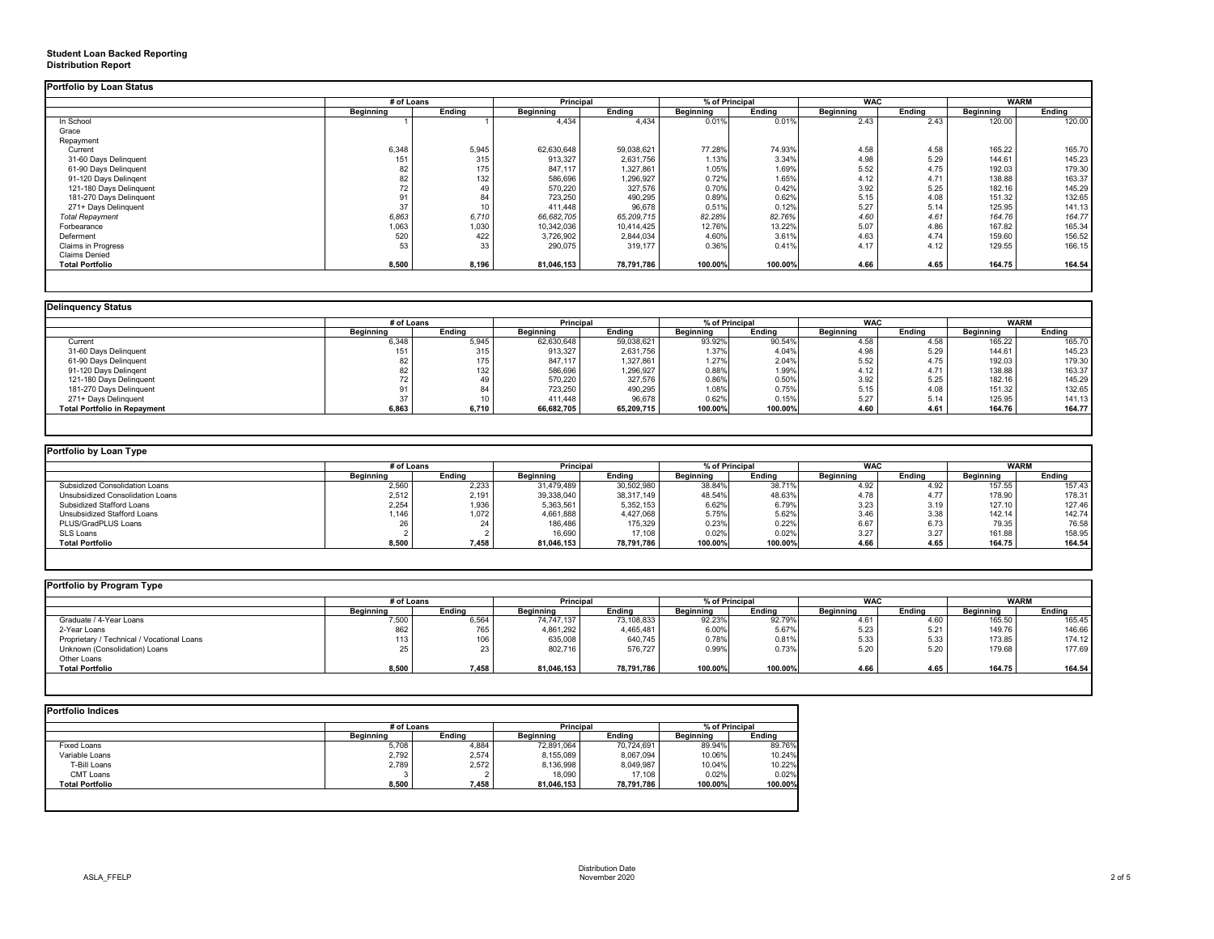# **Student Loan Backed Reporting Distribution Report**

|                           | # of Loans       |               | <b>Principal</b> |               | % of Principal   |               | <b>WAC</b>       |               | <b>WARM</b>      |               |
|---------------------------|------------------|---------------|------------------|---------------|------------------|---------------|------------------|---------------|------------------|---------------|
|                           | <b>Beginning</b> | <b>Ending</b> | <b>Beginning</b> | <b>Ending</b> | <b>Beginning</b> | <b>Ending</b> | <b>Beginning</b> | <b>Ending</b> | <b>Beginning</b> | <b>Ending</b> |
| In School                 |                  |               | 4,434            | 4,434         | 0.01%            | 0.01%         | 2.43             | 2.43          | 120.00           | 120.00        |
| Grace                     |                  |               |                  |               |                  |               |                  |               |                  |               |
| Repayment                 |                  |               |                  |               |                  |               |                  |               |                  |               |
| Current                   | 6,348            | 5,945         | 62,630,648       | 59,038,621    | 77.28%           | 74.93%        | 4.58             | 4.58          | 165.22           | 165.70        |
| 31-60 Days Delinquent     | 151              | 315           | 913,327          | 2,631,756     | 1.13%            | 3.34%         | 4.98             | 5.29          | 144.61           | 145.23        |
| 61-90 Days Delinquent     |                  | 175           | 847,117          | 1,327,861     | 1.05%            | 1.69%         | 5.52             | 4.75          | 192.03           | 179.30        |
| 91-120 Days Delingent     |                  | 132           | 586,696          | 1,296,927     | 0.72%            | 1.65%         | 4.12             | 4.71          | 138.88           | 163.37        |
| 121-180 Days Delinquent   | 72               | 49            | 570,220          | 327,576       | 0.70%            | 0.42%         | 3.92             | 5.25          | 182.16           | 145.29        |
| 181-270 Days Delinquent   |                  | 84            | 723,250          | 490,295       | 0.89%            | 0.62%         | 5.15             | 4.08          | 151.32           | 132.65        |
| 271+ Days Delinquent      | 37               | 10            | 411,448          | 96,678        | 0.51%            | 0.12%         | 5.27             | 5.14          | 125.95           | 141.13        |
| <b>Total Repayment</b>    | 6,863            | 6,710         | 66,682,705       | 65,209,715    | 82.28%           | 82.76%        | 4.60             | 4.61          | 164.76           | 164.77        |
| Forbearance               | 1,063            | 1,030         | 10,342,036       | 10,414,425    | 12.76%           | 13.22%        | 5.07             | 4.86          | 167.82           | 165.34        |
| Deferment                 | 520              | 422           | 3,726,902        | 2,844,034     | 4.60%            | 3.61%         | 4.63             | 4.74          | 159.60           | 156.52        |
| <b>Claims in Progress</b> | 53               | 33            | 290,075          | 319,177       | 0.36%            | 0.41%         | 4.17             | 4.12          | 129.55           | 166.15        |
| <b>Claims Denied</b>      |                  |               |                  |               |                  |               |                  |               |                  |               |
| <b>Total Portfolio</b>    | 8,500            | 8,196         | 81,046,153       | 78,791,786    | 100.00%          | 100.00%       | 4.66             | 4.65          | 164.75           | 164.54        |

|                                     | # of Loans       |               | <b>Principal</b> |               | % of Principal   |               | <b>WAC</b>       |               | <b>WARM</b>      |               |
|-------------------------------------|------------------|---------------|------------------|---------------|------------------|---------------|------------------|---------------|------------------|---------------|
|                                     | <b>Beginning</b> | <b>Ending</b> | <b>Beginning</b> | <b>Ending</b> | <b>Beginning</b> | <b>Ending</b> | <b>Beginning</b> | <b>Ending</b> | <b>Beginning</b> | <b>Ending</b> |
| Current                             | 6,348            | 5,945         | 62,630,648       | 59,038,621    | 93.92%           | 90.54%        | 4.58             | 4.58          | 165.22           | 165.70        |
| 31-60 Days Delinquent               | 151              | 315           | 913,327          | 2,631,756     | 1.37%            | 4.04%         | 4.98             | 5.29          | 144.61           | 145.23        |
| 61-90 Days Delinquent               |                  | 175           | 847,117          | 1,327,861     | 1.27%            | 2.04%         | 5.52             | 4.75          | 192.03           | 179.30        |
| 91-120 Days Delingent               |                  | 132           | 586,696          | 1,296,927     | 0.88%            | 1.99%         | 4.12             | 4.71          | 138.88           | 163.37        |
| 121-180 Days Delinquent             |                  | 49            | 570,220          | 327,576       | 0.86%            | 0.50%         | 3.92             | 5.25          | 182.16           | 145.29        |
| 181-270 Days Delinquent             |                  | 84            | 723,250          | 490,295       | 1.08%            | 0.75%         | 5.15             | 4.08          | 151.32           | 132.65        |
| 271+ Days Delinquent                |                  |               | 411,448          | 96,678        | 0.62%            | 0.15%         | 5.27             | 5.14          | 125.95           | 141.13        |
| <b>Total Portfolio in Repayment</b> | 6,863            | 6,710         | 66,682,705       | 65,209,715    | 100.00%          | 100.00%       | 4.60             | 4.61          | 164.76           | 164.77        |

| Portfolio by Loan Type                |                  |               |                  |               |                  |         |                  |               |                  |               |
|---------------------------------------|------------------|---------------|------------------|---------------|------------------|---------|------------------|---------------|------------------|---------------|
|                                       | # of Loans       |               | <b>Principal</b> |               | % of Principal   |         | <b>WAC</b>       |               | <b>WARM</b>      |               |
|                                       | <b>Beginning</b> | <b>Ending</b> | <b>Beginning</b> | <b>Ending</b> | <b>Beginning</b> | Ending  | <b>Beginning</b> | <b>Ending</b> | <b>Beginning</b> | <b>Ending</b> |
| <b>Subsidized Consolidation Loans</b> | 2,560            | 2,233         | 31,479,489       | 30,502,980    | 38.84%           | 38.71%  | 4.92             | 4.92          | 157.55           | 157.43        |
| Unsubsidized Consolidation Loans      | 2,512            | 2,191         | 39,338,040       | 38,317,149    | 48.54%           | 48.63%  | 4.78             | 4.77          | 178.90           | 178.31        |
| <b>Subsidized Stafford Loans</b>      | 2,254            | 1,936         | 5,363,561        | 5,352,153     | 6.62%            | 6.79%   | 3.23             | 3.19          | 127.10           | 127.46        |
| Unsubsidized Stafford Loans           | 1.146            | 1,072         | 4,661,888        | 4,427,068     | 5.75%            | 5.62%   | 3.46             | 3.38          | 142.14           | 142.74        |
| PLUS/GradPLUS Loans                   | 26               |               | 186,486          | 175,329       | 0.23%            | 0.22%   | 6.67             | 6.73          | 79.35            | 76.58         |
| SLS Loans                             |                  |               | 16,690           | 17,108        | 0.02%            | 0.02%   | 3.27             | 3.27          | 161.88           | 158.95        |
| <b>Total Portfolio</b>                | 8,500            | 7,458         | 81,046,153       | 78,791,786    | 100.00%          | 100.00% | 4.66             | 4.65          | 164.75           | 164.54        |
|                                       |                  |               |                  |               |                  |         |                  |               |                  |               |

|                                            | # of Loans       |        | <b>Principal</b> |               | % of Principal   |               | <b>WAC</b>       |               | <b>WARM</b>      |               |
|--------------------------------------------|------------------|--------|------------------|---------------|------------------|---------------|------------------|---------------|------------------|---------------|
|                                            | <b>Beginning</b> | Ending | <b>Beginning</b> | <b>Ending</b> | <b>Beginning</b> | <b>Ending</b> | <b>Beginning</b> | <b>Ending</b> | <b>Beginning</b> | <b>Ending</b> |
| Graduate / 4-Year Loans                    | 7,500            | 6,564  | 74,747,137       | 73,108,833    | 92.23%           | 92.79%        | 4.61             | 4.60          | 165.50           | 165.45        |
| 2-Year Loans                               | 862              | 765    | 4,861,292        | 4,465,481     | 6.00%            | 5.67%         | 5.23             | 5.21          | 149.76           | 146.66        |
| Proprietary / Technical / Vocational Loans | 113              | 106    | 635,008          | 640,745       | 0.78%            | 0.81%         | 5.33             | 5.33          | 173.85           | 174.12        |
| Unknown (Consolidation) Loans              | 25               | 23     | 802,716          | 576,727       | 0.99%            | 0.73%         | 5.20             | 5.20          | 179.68           | 177.69        |
| Other Loans                                |                  |        |                  |               |                  |               |                  |               |                  |               |
| <b>Total Portfolio</b>                     | 8,500            | 7,458  | 81,046,153       | 78,791,786    | 100.00%          | 100.00%       | 4.66             | 4.65          | 164.75           | 164.54        |

| <b>Portfolio Indices</b> |                  | # of Loans    |                  | <b>Principal</b> |                  | % of Principal |  |
|--------------------------|------------------|---------------|------------------|------------------|------------------|----------------|--|
|                          | <b>Beginning</b> | <b>Ending</b> | <b>Beginning</b> | <b>Ending</b>    | <b>Beginning</b> | <b>Ending</b>  |  |
| <b>Fixed Loans</b>       | 5,708            | 4,884         | 72,891,064       | 70,724,691       | 89.94%           | 89.76%         |  |
| Variable Loans           | 2,792            | 2,574         | 8,155,089        | 8,067,094        | 10.06%           | 10.24%         |  |
| T-Bill Loans             | 2,789            | 2,572         | 8,136,998        | 8,049,987        | 10.04%           | 10.22%         |  |
| <b>CMT Loans</b>         |                  |               | 18,090           | 17,108           | 0.02%            | 0.02%          |  |
| <b>Total Portfolio</b>   | 8,500            | 7,458         | 81,046,153       | 78,791,786       | 100.00%          | 100.00%        |  |
|                          |                  |               |                  |                  |                  |                |  |
|                          |                  |               |                  |                  |                  |                |  |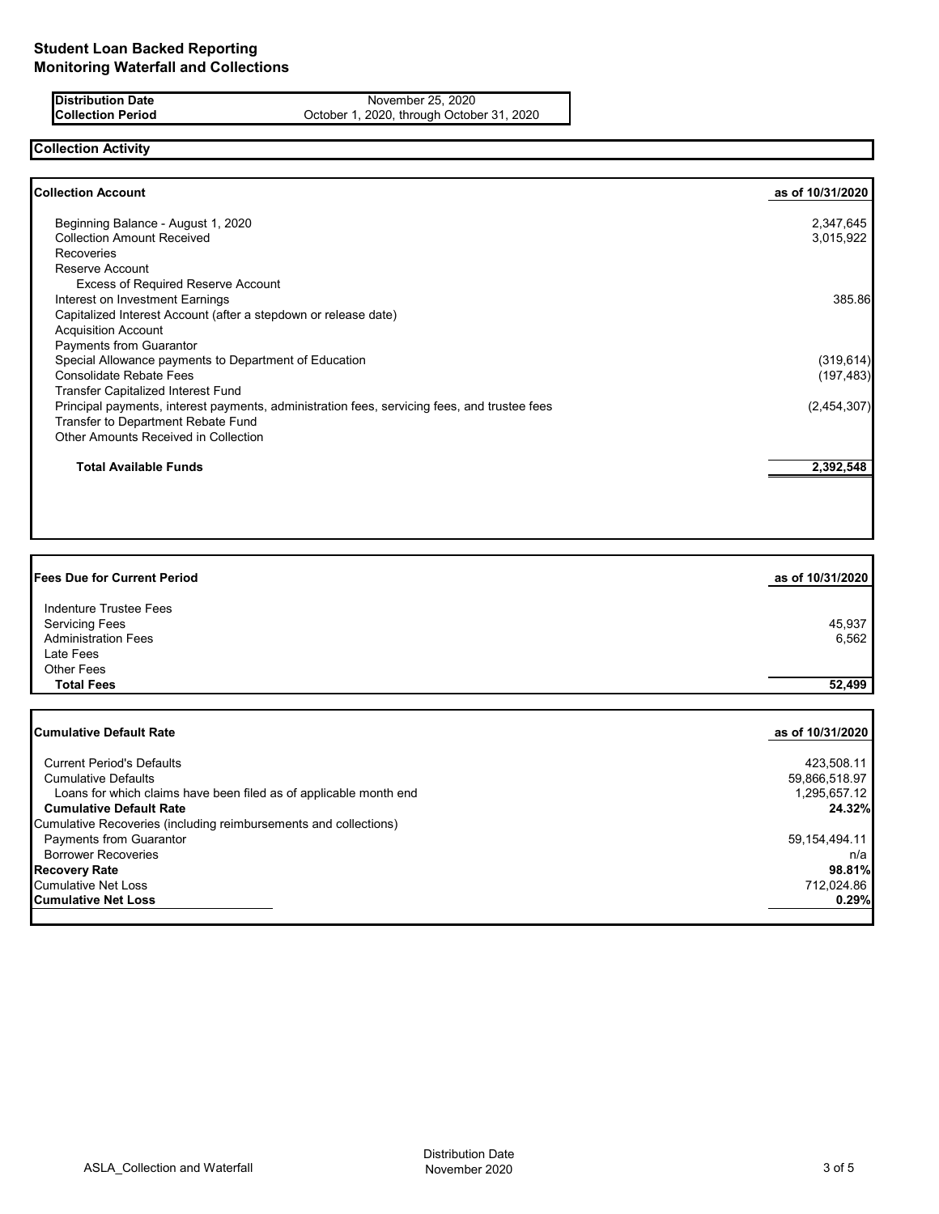### **Distribution Date** November 25, 2020<br> **Collection Period** Collection Certic Collection Deck November 25, 2020, through October October 1, 2020, through October 31, 2020

**Collection Activity**

| <b>Collection Account</b>                                                                    | as of 10/31/2020 |
|----------------------------------------------------------------------------------------------|------------------|
| Beginning Balance - August 1, 2020                                                           | 2,347,645        |
| <b>Collection Amount Received</b>                                                            | 3,015,922        |
| <b>Recoveries</b>                                                                            |                  |
| Reserve Account                                                                              |                  |
| <b>Excess of Required Reserve Account</b>                                                    |                  |
| Interest on Investment Earnings                                                              | 385.86           |
| Capitalized Interest Account (after a stepdown or release date)                              |                  |
| <b>Acquisition Account</b>                                                                   |                  |
| Payments from Guarantor                                                                      |                  |
| Special Allowance payments to Department of Education                                        | (319, 614)       |
| <b>Consolidate Rebate Fees</b>                                                               | (197, 483)       |
| Transfer Capitalized Interest Fund                                                           |                  |
| Principal payments, interest payments, administration fees, servicing fees, and trustee fees | (2,454,307)      |
| Transfer to Department Rebate Fund                                                           |                  |
| Other Amounts Received in Collection                                                         |                  |
| <b>Total Available Funds</b>                                                                 | 2,392,548        |

| <b>Fees Due for Current Period</b>                                                              | as of 10/31/2020              |
|-------------------------------------------------------------------------------------------------|-------------------------------|
| Indenture Trustee Fees                                                                          |                               |
| <b>Servicing Fees</b>                                                                           | 45,937                        |
| <b>Administration Fees</b>                                                                      | 6,562                         |
| Late Fees                                                                                       |                               |
| <b>Other Fees</b>                                                                               |                               |
| <b>Total Fees</b>                                                                               | 52,499                        |
| <b>Cumulative Default Rate</b>                                                                  | as of 10/31/2020              |
| <b>Current Period's Defaults</b>                                                                | 423,508.11                    |
| <b>Cumulative Defaults</b><br>Loans for which claims have been filed as of applicable month end | 59,866,518.97<br>1,295,657.12 |
| <b>Cumulative Default Rate</b>                                                                  | 24.32%                        |
| Cumulative Recoveries (including reimbursements and collections)                                |                               |
| Payments from Guarantor                                                                         | 59, 154, 494. 11              |
| <b>Borrower Recoveries</b>                                                                      | n/a                           |
| <b>Recovery Rate</b>                                                                            | 98.81%                        |
| <b>Cumulative Net Loss</b>                                                                      | 712,024.86                    |

Cumulative Net Loss 712,024.86<br> **Cumulative Net Loss 80.29%**<br> **Cumulative Net Loss 80.29% Cumulative Net Loss** 

ASLA\_Collection and Waterfall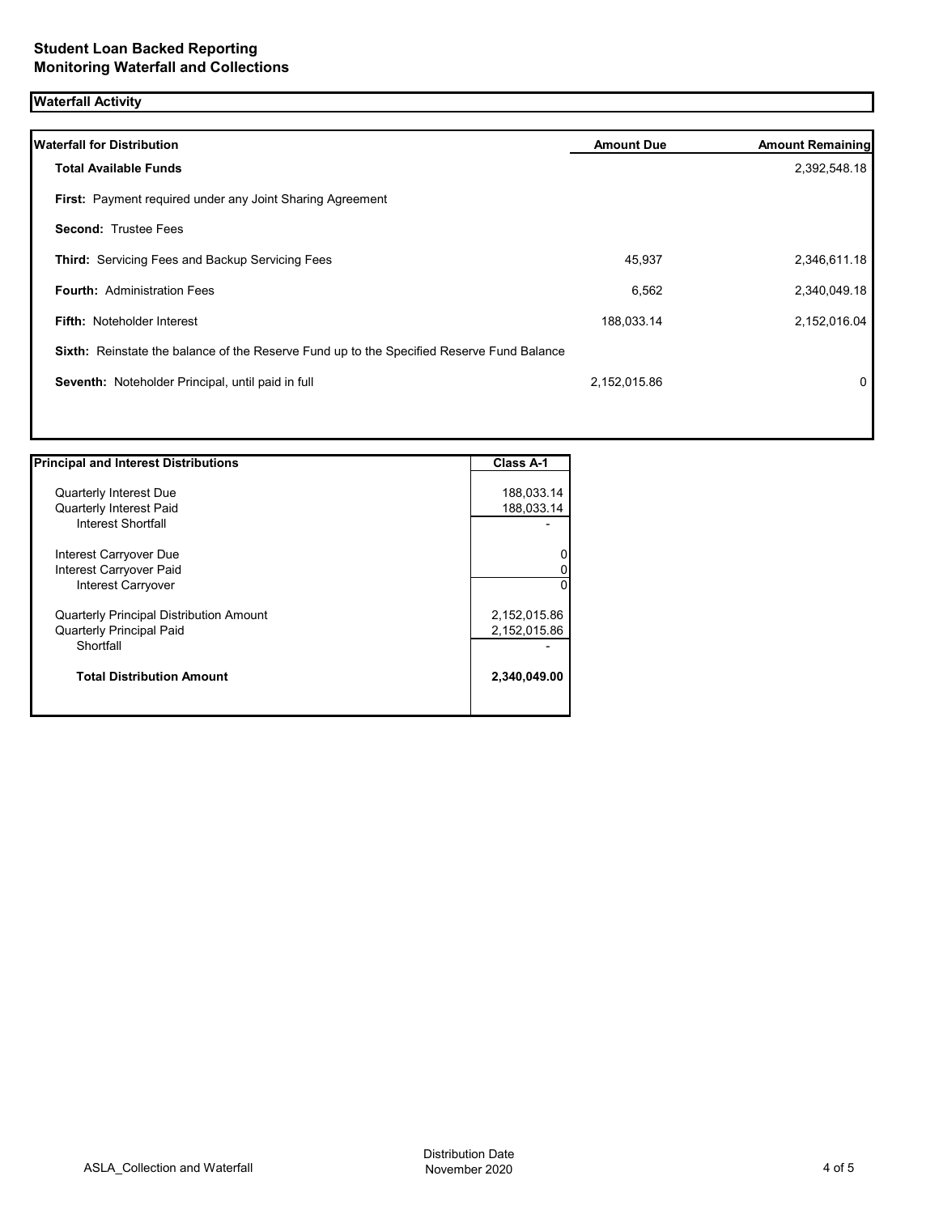# **Waterfall Activity**

| <b>Waterfall for Distribution</b>                                                         | <b>Amount Due</b> | <b>Amount Remaining</b> |
|-------------------------------------------------------------------------------------------|-------------------|-------------------------|
| <b>Total Available Funds</b>                                                              |                   | 2,392,548.18            |
| First: Payment required under any Joint Sharing Agreement                                 |                   |                         |
| <b>Second: Trustee Fees</b>                                                               |                   |                         |
| <b>Third:</b> Servicing Fees and Backup Servicing Fees                                    | 45,937            | 2,346,611.18            |
| <b>Fourth: Administration Fees</b>                                                        | 6,562             | 2,340,049.18            |
| Fifth: Noteholder Interest                                                                | 188,033.14        | 2,152,016.04            |
| Sixth: Reinstate the balance of the Reserve Fund up to the Specified Reserve Fund Balance |                   |                         |
| Seventh: Noteholder Principal, until paid in full                                         | 2,152,015.86      | 0                       |
|                                                                                           |                   |                         |
|                                                                                           |                   |                         |

| <b>Principal and Interest Distributions</b>    | <b>Class A-1</b> |
|------------------------------------------------|------------------|
|                                                |                  |
| <b>Quarterly Interest Due</b>                  | 188,033.14       |
| <b>Quarterly Interest Paid</b>                 | 188,033.14       |
| Interest Shortfall                             |                  |
| Interest Carryover Due                         | 0                |
| Interest Carryover Paid                        | 0                |
| Interest Carryover                             | ΩI               |
| <b>Quarterly Principal Distribution Amount</b> | 2,152,015.86     |
| <b>Quarterly Principal Paid</b>                | 2,152,015.86     |
| Shortfall                                      |                  |
| <b>Total Distribution Amount</b>               | 2,340,049.00     |
|                                                |                  |

1